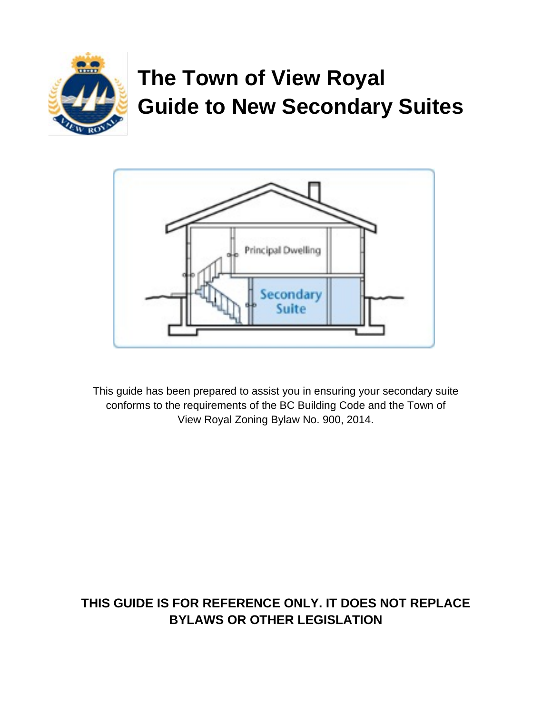

# **The Town of View Royal Guide to New Secondary Suites**



This guide has been prepared to assist you in ensuring your secondary suite conforms to the requirements of the BC Building Code and the Town of View Royal Zoning Bylaw No. 900, 2014.

## **THIS GUIDE IS FOR REFERENCE ONLY. IT DOES NOT REPLACE BYLAWS OR OTHER LEGISLATION**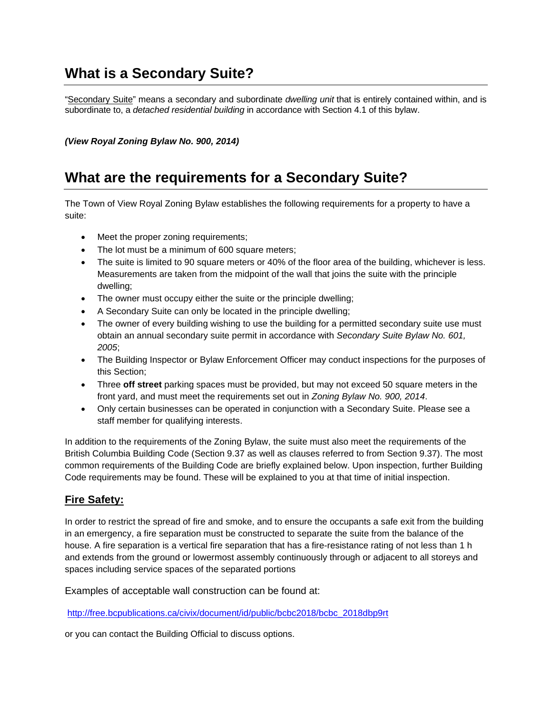## **What is a Secondary Suite?**

"Secondary Suite" means a secondary and subordinate *dwelling unit* that is entirely contained within, and is subordinate to, a *detached residential building* in accordance with Section 4.1 of this bylaw.

*(View Royal Zoning Bylaw No. 900, 2014)*

## **What are the requirements for a Secondary Suite?**

The Town of View Royal Zoning Bylaw establishes the following requirements for a property to have a suite:

- Meet the proper zoning requirements;
- The lot must be a minimum of 600 square meters;
- The suite is limited to 90 square meters or 40% of the floor area of the building, whichever is less. Measurements are taken from the midpoint of the wall that joins the suite with the principle dwelling;
- The owner must occupy either the suite or the principle dwelling;
- A Secondary Suite can only be located in the principle dwelling;
- The owner of every building wishing to use the building for a permitted secondary suite use must obtain an annual secondary suite permit in accordance with *Secondary Suite Bylaw No. 601, 2005*;
- The Building Inspector or Bylaw Enforcement Officer may conduct inspections for the purposes of this Section;
- Three **off street** parking spaces must be provided, but may not exceed 50 square meters in the front yard, and must meet the requirements set out in *Zoning Bylaw No. 900, 2014*.
- Only certain businesses can be operated in conjunction with a Secondary Suite. Please see a staff member for qualifying interests.

In addition to the requirements of the Zoning Bylaw, the suite must also meet the requirements of the British Columbia Building Code (Section 9.37 as well as clauses referred to from Section 9.37). The most common requirements of the Building Code are briefly explained below. Upon inspection, further Building Code requirements may be found. These will be explained to you at that time of initial inspection.

#### **Fire Safety:**

In order to restrict the spread of fire and smoke, and to ensure the occupants a safe exit from the building in an emergency, a fire separation must be constructed to separate the suite from the balance of the house. A fire separation is a vertical fire separation that has a fire-resistance rating of not less than 1 h and extends from the ground or lowermost assembly continuously through or adjacent to all storeys and spaces including service spaces of the separated portions

Examples of acceptable wall construction can be found at:

[http://free.bcpublications.ca/civix/document/id/public/bcbc2018/bcbc\\_2018dbp9rt](http://free.bcpublications.ca/civix/document/id/public/bcbc2018/bcbc_2018dbp9rt)

or you can contact the Building Official to discuss options.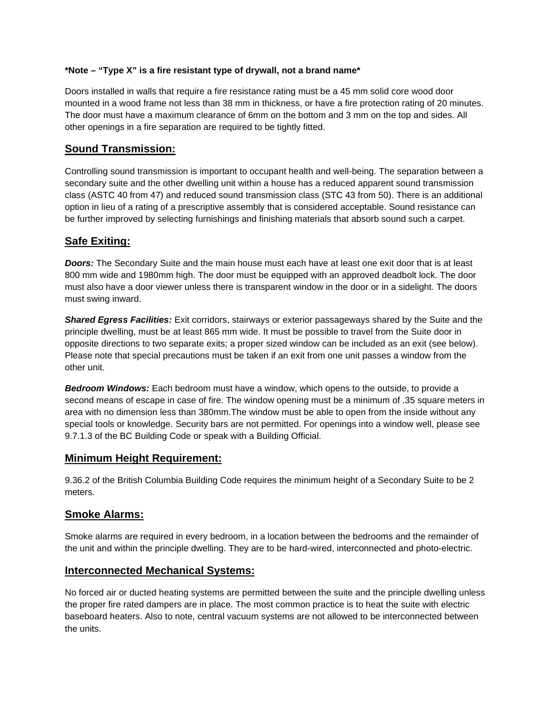#### **\*Note – "Type X" is a fire resistant type of drywall, not a brand name\***

Doors installed in walls that require a fire resistance rating must be a 45 mm solid core wood door mounted in a wood frame not less than 38 mm in thickness, or have a fire protection rating of 20 minutes. The door must have a maximum clearance of 6mm on the bottom and 3 mm on the top and sides. All other openings in a fire separation are required to be tightly fitted.

#### **Sound Transmission:**

Controlling sound transmission is important to occupant health and well-being. The separation between a secondary suite and the other dwelling unit within a house has a reduced apparent sound transmission class (ASTC 40 from 47) and reduced sound transmission class (STC 43 from 50). There is an additional option in lieu of a rating of a prescriptive assembly that is considered acceptable. Sound resistance can be further improved by selecting furnishings and finishing materials that absorb sound such a carpet.

#### **Safe Exiting:**

*Doors:* The Secondary Suite and the main house must each have at least one exit door that is at least 800 mm wide and 1980mm high. The door must be equipped with an approved deadbolt lock. The door must also have a door viewer unless there is transparent window in the door or in a sidelight. The doors must swing inward.

*Shared Egress Facilities:* Exit corridors, stairways or exterior passageways shared by the Suite and the principle dwelling, must be at least 865 mm wide. It must be possible to travel from the Suite door in opposite directions to two separate exits; a proper sized window can be included as an exit (see below). Please note that special precautions must be taken if an exit from one unit passes a window from the other unit.

*Bedroom Windows:* Each bedroom must have a window, which opens to the outside, to provide a second means of escape in case of fire. The window opening must be a minimum of .35 square meters in area with no dimension less than 380mm.The window must be able to open from the inside without any special tools or knowledge. Security bars are not permitted. For openings into a window well, please see 9.7.1.3 of the BC Building Code or speak with a Building Official.

#### **Minimum Height Requirement:**

9.36.2 of the British Columbia Building Code requires the minimum height of a Secondary Suite to be 2 meters.

#### **Smoke Alarms:**

Smoke alarms are required in every bedroom, in a location between the bedrooms and the remainder of the unit and within the principle dwelling. They are to be hard-wired, interconnected and photo-electric.

#### **Interconnected Mechanical Systems:**

No forced air or ducted heating systems are permitted between the suite and the principle dwelling unless the proper fire rated dampers are in place. The most common practice is to heat the suite with electric baseboard heaters. Also to note, central vacuum systems are not allowed to be interconnected between the units.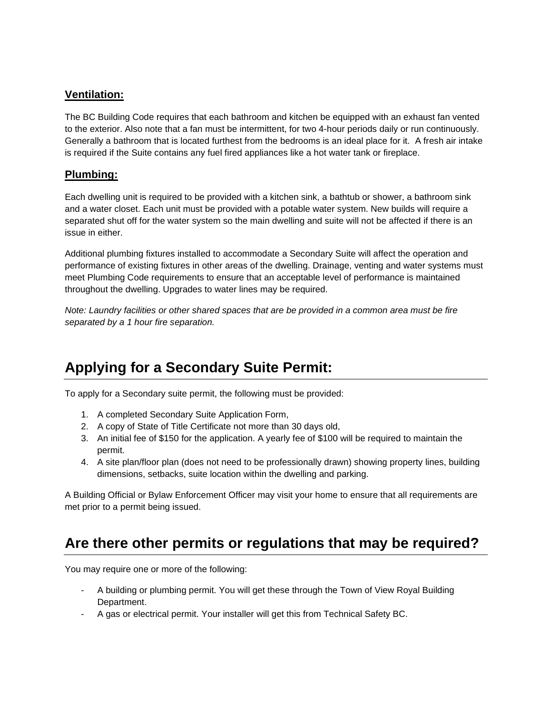#### **Ventilation:**

The BC Building Code requires that each bathroom and kitchen be equipped with an exhaust fan vented to the exterior. Also note that a fan must be intermittent, for two 4-hour periods daily or run continuously. Generally a bathroom that is located furthest from the bedrooms is an ideal place for it. A fresh air intake is required if the Suite contains any fuel fired appliances like a hot water tank or fireplace.

#### **Plumbing:**

Each dwelling unit is required to be provided with a kitchen sink, a bathtub or shower, a bathroom sink and a water closet. Each unit must be provided with a potable water system. New builds will require a separated shut off for the water system so the main dwelling and suite will not be affected if there is an issue in either.

Additional plumbing fixtures installed to accommodate a Secondary Suite will affect the operation and performance of existing fixtures in other areas of the dwelling. Drainage, venting and water systems must meet Plumbing Code requirements to ensure that an acceptable level of performance is maintained throughout the dwelling. Upgrades to water lines may be required.

*Note: Laundry facilities or other shared spaces that are be provided in a common area must be fire separated by a 1 hour fire separation.*

## **Applying for a Secondary Suite Permit:**

To apply for a Secondary suite permit, the following must be provided:

- 1. A completed Secondary Suite Application Form,
- 2. A copy of State of Title Certificate not more than 30 days old,
- 3. An initial fee of \$150 for the application. A yearly fee of \$100 will be required to maintain the permit.
- 4. A site plan/floor plan (does not need to be professionally drawn) showing property lines, building dimensions, setbacks, suite location within the dwelling and parking.

A Building Official or Bylaw Enforcement Officer may visit your home to ensure that all requirements are met prior to a permit being issued.

## **Are there other permits or regulations that may be required?**

You may require one or more of the following:

- A building or plumbing permit. You will get these through the Town of View Royal Building Department.
- A gas or electrical permit. Your installer will get this from Technical Safety BC.